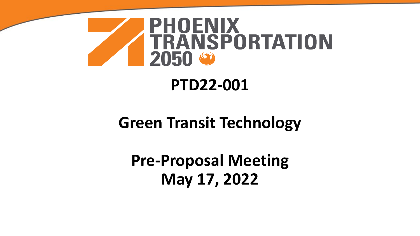

### **PTD22-001**

### **Green Transit Technology**

**Pre-Proposal Meeting May 17, 2022**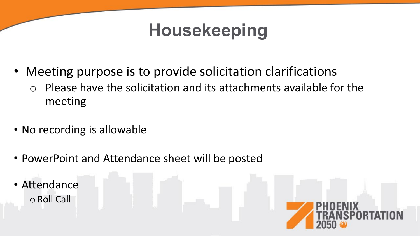# **Housekeeping**

- Meeting purpose is to provide solicitation clarifications
	- o Please have the solicitation and its attachments available for the meeting
- No recording is allowable
- PowerPoint and Attendance sheet will be posted
- Attendance oRoll Call

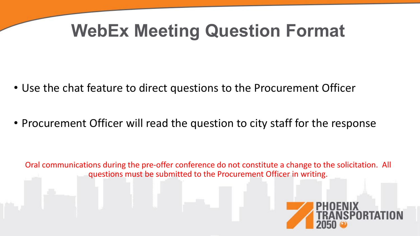# **WebEx Meeting Question Format**

- Use the chat feature to direct questions to the Procurement Officer
- Procurement Officer will read the question to city staff for the response

Oral communications during the pre-offer conference do not constitute a change to the solicitation. All questions must be submitted to the Procurement Officer in writing.

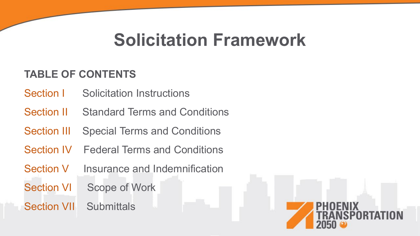# **Solicitation Framework**

#### **TABLE OF CONTENTS**

- Section I Solicitation Instructions
- Section II Standard Terms and Conditions
- Section III Special Terms and Conditions
- Section IV Federal Terms and Conditions
- Section V Insurance and Indemnification
- Section VI Scope of Work
- Section VII Submittals

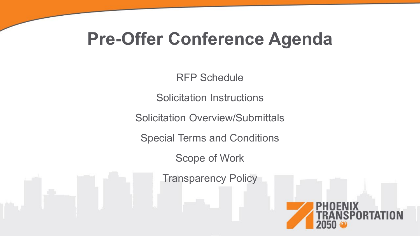# **Pre-Offer Conference Agenda**

RFP Schedule

Solicitation Instructions

Solicitation Overview/Submittals

Special Terms and Conditions

Scope of Work

Transparency Policy

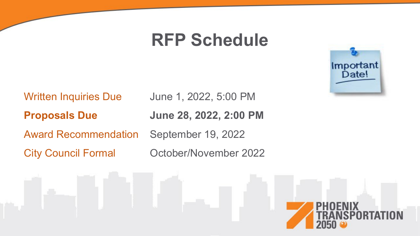## **RFP Schedule**

Written Inquiries Due June 1, 2022, 5:00 PM

**Proposals Due June 28, 2022, 2:00 PM**

Award Recommendation September 19, 2022

City Council Formal October/November 2022



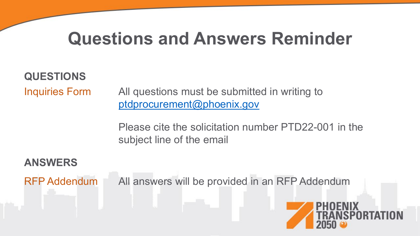# **Questions and Answers Reminder**

**QUESTIONS**

Inquiries Form All questions must be submitted in writing to [ptdprocurement@phoenix.gov](mailto:ptdprocurement@phoenix.gov)

> Please cite the solicitation number PTD22-001 in the subject line of the email

**ANSWERS** RFP Addendum All answers will be provided in an RFP Addendum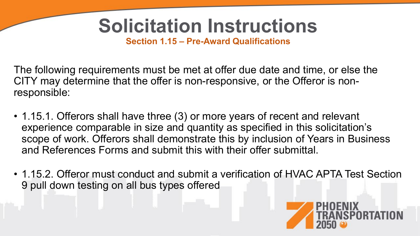# **Solicitation Instructions**

**Section 1.15 – Pre-Award Qualifications**

The following requirements must be met at offer due date and time, or else the CITY may determine that the offer is non-responsive, or the Offeror is nonresponsible:

- 1.15.1. Offerors shall have three (3) or more years of recent and relevant experience comparable in size and quantity as specified in this solicitation's scope of work. Offerors shall demonstrate this by inclusion of Years in Business and References Forms and submit this with their offer submittal.
- 1.15.2. Offeror must conduct and submit a verification of HVAC APTA Test Section 9 pull down testing on all bus types offered

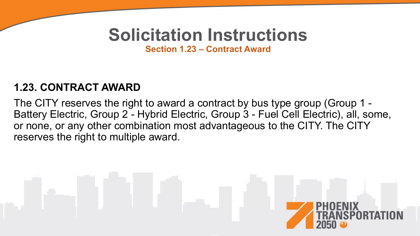# **Solicitation Instructions**

**Section 1.23 – Contract Award**

#### **1.23. CONTRACT AWARD**

The CITY reserves the right to award a contract by bus type group (Group 1 - Battery Electric, Group 2 - Hybrid Electric, Group 3 - Fuel Cell Electric), all, some, or none, or any other combination most advantageous to the CITY. The CITY reserves the right to multiple award.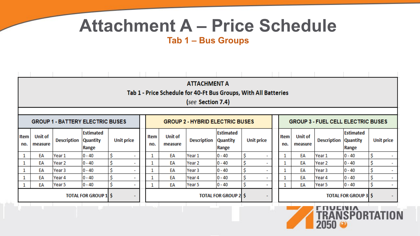# **Attachment A – Price Schedule**

#### **Tab 1 – Bus Groups**

|                                         |                           |                    |                                       |                                        |             |                           | <b>ATTACHMENT A</b><br>(see Section 7.4) |                                           | Tab 1 - Price Schedule for 40-Ft Bus Groups, With All Batteries |             |                           |                    |                                       |                   |
|-----------------------------------------|---------------------------|--------------------|---------------------------------------|----------------------------------------|-------------|---------------------------|------------------------------------------|-------------------------------------------|-----------------------------------------------------------------|-------------|---------------------------|--------------------|---------------------------------------|-------------------|
| <b>GROUP 1 - BATTERY ELECTRIC BUSES</b> |                           |                    |                                       | <b>GROUP 2 - HYBRID ELECTRIC BUSES</b> |             |                           |                                          | <b>GROUP 3 - FUEL CELL ELECTRIC BUSES</b> |                                                                 |             |                           |                    |                                       |                   |
| Item<br>no.                             | <b>Unit of</b><br>measure | <b>Description</b> | Estimated<br><b>Quantity</b><br>Range | <b>Unit price</b>                      | Item<br>no. | <b>Unit of</b><br>measure | <b>Description</b>                       | Estimated<br><b>Quantity</b><br>Range     | <b>Unit price</b>                                               | Item<br>no. | <b>Unit of</b><br>measure | <b>Description</b> | Estimated<br><b>Quantity</b><br>Range | <b>Unit price</b> |
|                                         | EA                        | Year 1             | $0 - 40$                              | \$                                     |             | EA                        | Year 1                                   | $0 - 40$                                  | \$                                                              |             | EA                        | Year 1             | $0 - 40$                              | Ś                 |
|                                         | EA                        | Year 2             | $0 - 40$                              | \$                                     |             | EA                        | Year 2                                   | $0 - 40$                                  | \$                                                              |             | EA                        | Year 2             | $ 0 - 40 $                            | \$                |
|                                         | EA                        | Year 3             | $0 - 40$                              | \$                                     |             | EA                        | Year 3                                   | $0 - 40$                                  | \$<br>٠                                                         |             | EA                        | Year 3             | $0 - 40$                              | \$                |
|                                         | EA                        | Year 4             | $0 - 40$                              | \$                                     |             | EA                        | Year 4                                   | $0 - 40$                                  | \$<br>٠                                                         |             | EA                        | Year 4             | $0 - 40$                              | Ś                 |
|                                         | EA                        | Year 5             | $0 - 40$                              | Ś                                      |             | EA                        | Year 5                                   | $0 - 40$                                  | \$<br>$\overline{\phantom{a}}$                                  |             | EA                        | Year 5             | $0 - 40$                              | \$                |
|                                         |                           |                    | <b>TOTAL FOR GROUP 1 \$</b>           |                                        |             |                           |                                          | <b>TOTAL FOR GROUP 2 \$</b>               | ۰                                                               |             |                           |                    | <b>TOTAL FOR GROUP 3 \$</b>           |                   |
|                                         |                           |                    |                                       |                                        |             |                           |                                          |                                           |                                                                 |             |                           | <b>FRUENIA</b>     |                                       |                   |

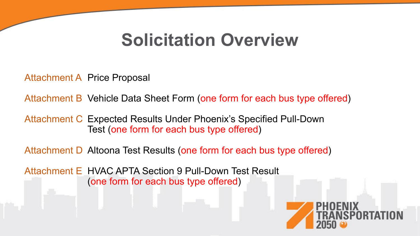## **Solicitation Overview**

Attachment A Price Proposal

Attachment B Vehicle Data Sheet Form (one form for each bus type offered)

Attachment C Expected Results Under Phoenix's Specified Pull-Down Test (one form for each bus type offered)

Attachment D Altoona Test Results (one form for each bus type offered)

Attachment E HVAC APTA Section 9 Pull-Down Test Result (one form for each bus type offered)

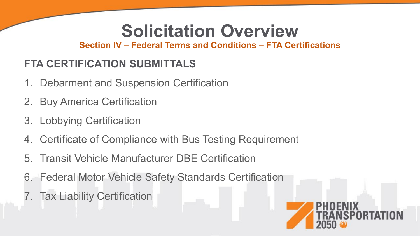# **Solicitation Overview**

**Section IV – Federal Terms and Conditions – FTA Certifications**

### **FTA CERTIFICATION SUBMITTALS**

- 1. Debarment and Suspension Certification
- 2. Buy America Certification
- 3. Lobbying Certification
- 4. Certificate of Compliance with Bus Testing Requirement
- 5. Transit Vehicle Manufacturer DBE Certification
- 6. Federal Motor Vehicle Safety Standards Certification
- 7. Tax Liability Certification

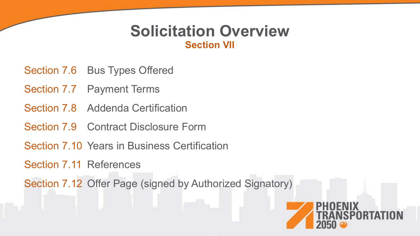#### **Solicitation Overview Section VII**

- Section 7.6 Bus Types Offered
- Section 7.7 Payment Terms
- Section 7.8 Addenda Certification
- Section 7.9 Contract Disclosure Form
- Section 7.10 Years in Business Certification
- Section 7.11 References

Section 7.12 Offer Page (signed by Authorized Signatory)

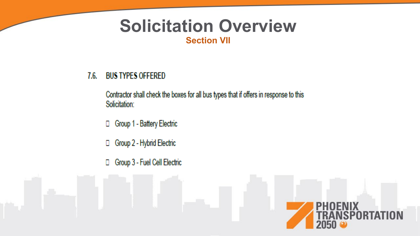#### **Solicitation Overview Section VII**

#### **BUS TYPES OFFERED**  $7.6.$

Contractor shall check the boxes for all bus types that if offers in response to this Solicitation:

- □ Group 1 Battery Electric
- Group 2 Hybrid Electric  $\Box$
- Group 3 Fuel Cell Electric  $\Box$

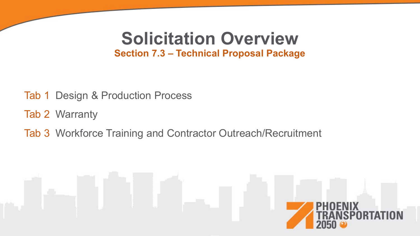#### **Solicitation Overview Section 7.3 – Technical Proposal Package**

- Tab 1 Design & Production Process
- Tab 2 Warranty
- Tab 3 Workforce Training and Contractor Outreach/Recruitment

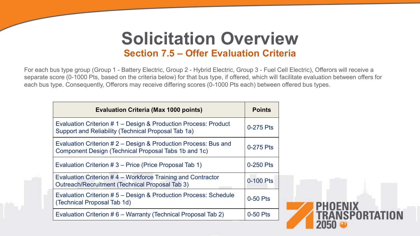### **Solicitation Overview Section 7.5 – Offer Evaluation Criteria**

For each bus type group (Group 1 - Battery Electric, Group 2 - Hybrid Electric, Group 3 - Fuel Cell Electric), Offerors will receive a separate score (0-1000 Pts, based on the criteria below) for that bus type, if offered, which will facilitate evaluation between offers for each bus type. Consequently, Offerors may receive differing scores (0-1000 Pts each) between offered bus types.

| <b>Evaluation Criteria (Max 1000 points)</b>                                                                            | <b>Points</b> |
|-------------------------------------------------------------------------------------------------------------------------|---------------|
| Evaluation Criterion # 1 – Design & Production Process: Product<br>Support and Reliability (Technical Proposal Tab 1a)  | 0-275 Pts     |
| Evaluation Criterion # 2 - Design & Production Process: Bus and<br>Component Design (Technical Proposal Tabs 1b and 1c) | 0-275 Pts     |
| Evaluation Criterion # 3 - Price (Price Proposal Tab 1)                                                                 | 0-250 Pts     |
| Evaluation Criterion #4 – Workforce Training and Contractor<br>Outreach/Recruitment (Technical Proposal Tab 3)          | 0-100 Pts     |
| Evaluation Criterion #5 - Design & Production Process: Schedule<br>(Technical Proposal Tab 1d)                          | $0-50$ Pts    |
| Evaluation Criterion #6 – Warranty (Technical Proposal Tab 2)                                                           | $0-50$ Pts    |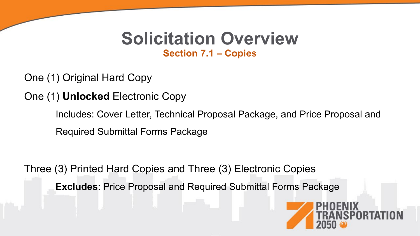### **Solicitation Overview Section 7.1 – Copies**

One (1) Original Hard Copy

One (1) **Unlocked** Electronic Copy

Includes: Cover Letter, Technical Proposal Package, and Price Proposal and Required Submittal Forms Package

Three (3) Printed Hard Copies and Three (3) Electronic Copies

**Excludes**: Price Proposal and Required Submittal Forms Package

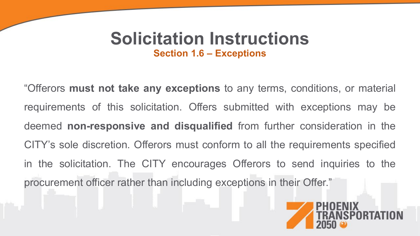### **Solicitation Instructions Section 1.6 – Exceptions**

"Offerors **must not take any exceptions** to any terms, conditions, or material requirements of this solicitation. Offers submitted with exceptions may be deemed **non-responsive and disqualified** from further consideration in the CITY's sole discretion. Offerors must conform to all the requirements specified in the solicitation. The CITY encourages Offerors to send inquiries to the procurement officer rather than including exceptions in their Offer."

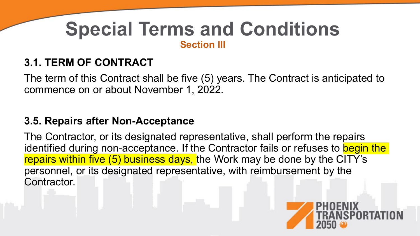#### **3.1. TERM OF CONTRACT**

The term of this Contract shall be five (5) years. The Contract is anticipated to commence on or about November 1, 2022.

#### **3.5. Repairs after Non-Acceptance**

The Contractor, or its designated representative, shall perform the repairs identified during non-acceptance. If the Contractor fails or refuses to begin the repairs within five (5) business days, the Work may be done by the CITY's personnel, or its designated representative, with reimbursement by the Contractor.

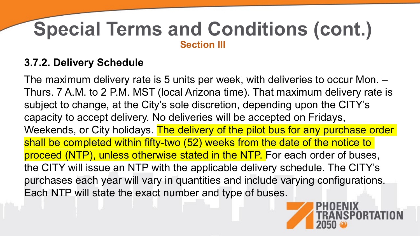#### **3.7.2. Delivery Schedule**

The maximum delivery rate is 5 units per week, with deliveries to occur Mon. – Thurs. 7 A.M. to 2 P.M. MST (local Arizona time). That maximum delivery rate is subject to change, at the City's sole discretion, depending upon the CITY's capacity to accept delivery. No deliveries will be accepted on Fridays, Weekends, or City holidays. The delivery of the pilot bus for any purchase order shall be completed within fifty-two (52) weeks from the date of the notice to proceed (NTP), unless otherwise stated in the NTP. For each order of buses, the CITY will issue an NTP with the applicable delivery schedule. The CITY's purchases each year will vary in quantities and include varying configurations. Each NTP will state the exact number and type of buses.

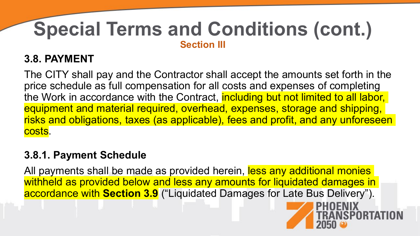#### **3.8. PAYMENT**

The CITY shall pay and the Contractor shall accept the amounts set forth in the price schedule as full compensation for all costs and expenses of completing the Work in accordance with the Contract, including but not limited to all labor, equipment and material required, overhead, expenses, storage and shipping, risks and obligations, taxes (as applicable), fees and profit, and any unforeseen costs.

#### **3.8.1. Payment Schedule**

All payments shall be made as provided herein, less any additional monies withheld as provided below and less any amounts for liquidated damages in accordance with **Section 3.9** ("Liquidated Damages for Late Bus Delivery").

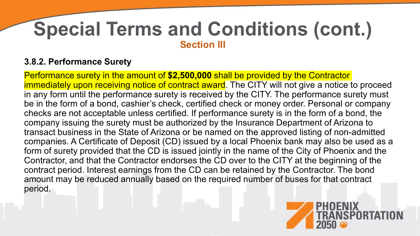#### **3.8.2. Performance Surety**

Performance surety in the amount of **\$2,500,000** shall be provided by the Contractor immediately upon receiving notice of contract award. The CITY will not give a notice to proceed in any form until the performance surety is received by the CITY. The performance surety must be in the form of a bond, cashier's check, certified check or money order. Personal or company checks are not acceptable unless certified. If performance surety is in the form of a bond, the company issuing the surety must be authorized by the Insurance Department of Arizona to transact business in the State of Arizona or be named on the approved listing of non-admitted companies. A Certificate of Deposit (CD) issued by a local Phoenix bank may also be used as a form of surety provided that the CD is issued jointly in the name of the City of Phoenix and the Contractor, and that the Contractor endorses the CD over to the CITY at the beginning of the contract period. Interest earnings from the CD can be retained by the Contractor. The bond amount may be reduced annually based on the required number of buses for that contract period.

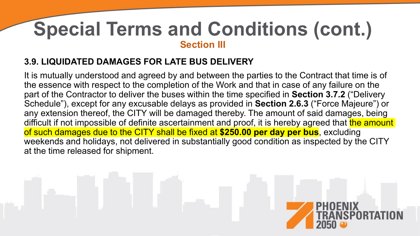#### **3.9. LIQUIDATED DAMAGES FOR LATE BUS DELIVERY**

It is mutually understood and agreed by and between the parties to the Contract that time is of the essence with respect to the completion of the Work and that in case of any failure on the part of the Contractor to deliver the buses within the time specified in **Section 3.7.2** ("Delivery Schedule"), except for any excusable delays as provided in **Section 2.6.3** ("Force Majeure") or any extension thereof, the CITY will be damaged thereby. The amount of said damages, being difficult if not impossible of definite ascertainment and proof, it is hereby agreed that the amount of such damages due to the CITY shall be fixed at **\$250.00 per day per bus**, excluding weekends and holidays, not delivered in substantially good condition as inspected by the CITY at the time released for shipment.

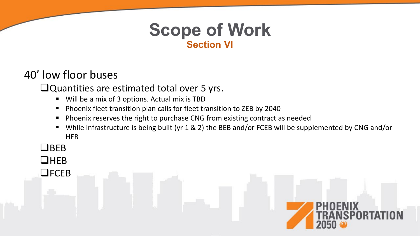### **Scope of Work Section VI**

#### 40' low floor buses

#### Quantities are estimated total over 5 yrs.

- Will be a mix of 3 options. Actual mix is TBD
- Phoenix fleet transition plan calls for fleet transition to ZEB by 2040
- Phoenix reserves the right to purchase CNG from existing contract as needed
- While infrastructure is being built (yr 1 & 2) the BEB and/or FCEB will be supplemented by CNG and/or **HEB**
- $\Box$ BEB
- **UHEB**

**OFCEB** 

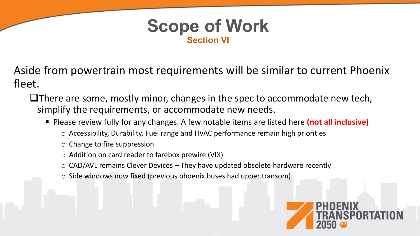

Aside from powertrain most requirements will be similar to current Phoenix fleet.

 $\Box$  There are some, mostly minor, changes in the spec to accommodate new tech, simplify the requirements, or accommodate new needs.

- Please review fully for any changes. A few notable items are listed here **(not all inclusive)** 
	- o Accessibility, Durability, Fuel range and HVAC performance remain high priorities
	- o Change to fire suppression
	- o Addition on card reader to farebox prewire (VIX)
	- $\circ$  CAD/AVL remains Clever Devices They have updated obsolete hardware recently
	- $\circ$  Side windows now fixed (previous phoenix buses had upper transom)

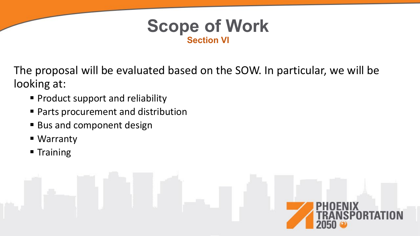

The proposal will be evaluated based on the SOW. In particular, we will be looking at:

- **Product support and reliability**
- Parts procurement and distribution
- Bus and component design
- Warranty
- **Training**